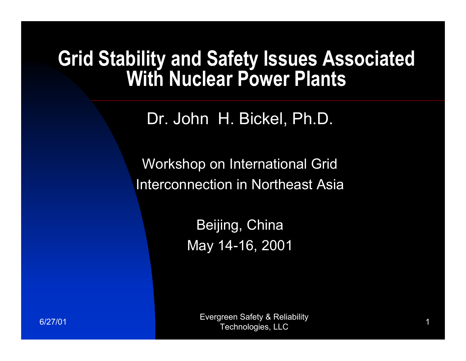#### **Grid Stability and Safety Issues Associated With Nuclear Power Plants**

Dr. John H. Bickel, Ph.D.

Workshop on International Grid Interconnection in Northeast Asia

> Beijing, China May 14-16, 2001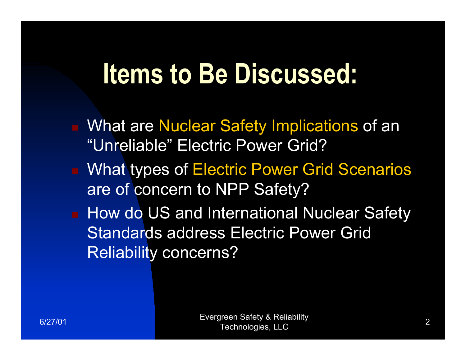#### **Items to Be Discussed:**

- What are Nuclear Safety Implications of an "Unreliable" Electric Power Grid?
- What types of Electric Power Grid Scenarios are of concern to NPP Safety?
- How do US and International Nuclear Safety Standards address Electric Power Grid Reliability concerns?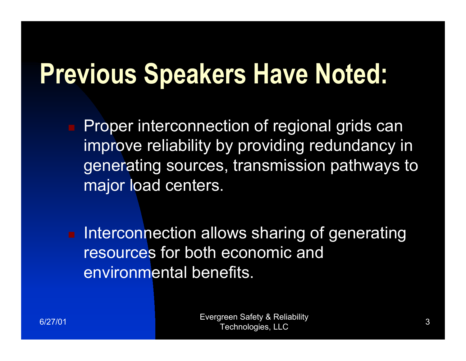#### **Previous Speakers Have Noted:**

 Proper interconnection of regional grids can improve reliability by providing redundancy in generating sources, transmission pathways to major load centers.

 Interconnection allows sharing of generating resources for both economic and environmental benefits.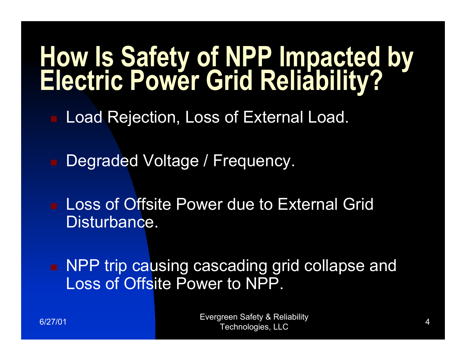# **How Is Safety of NPP Impacted by Electric Power Grid Reliability?**

- Load Rejection, Loss of External Load.
- Degraded Voltage / Frequency.
- **Loss of Offsite Power due to External Grid** Disturbance.

■ NPP trip causing cascading grid collapse and Loss of Offsite Power to NPP.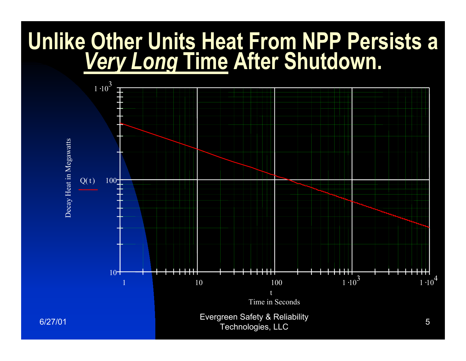#### **Unlike Other Units Heat From NPP Persists a**  *Very Long* **Time After Shutdown.**

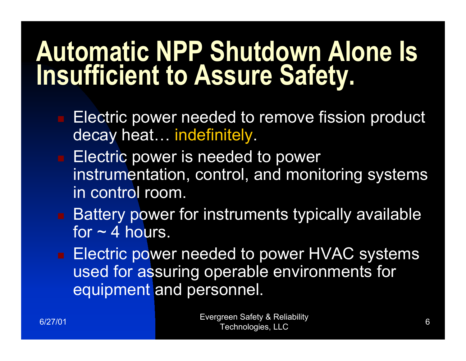#### **Automatic NPP Shutdown Alone Is Insufficient to Assure Safety.**

- Electric power needed to remove fission product decay heat… indefinitely.
- **Electric power is needed to power** instrumentation, control, and monitoring systems in control room.
- Battery power for instruments typically available for  $\sim$  4 hours.
- Electric power needed to power HVAC systems used for assuring operable environments for equipment and personnel.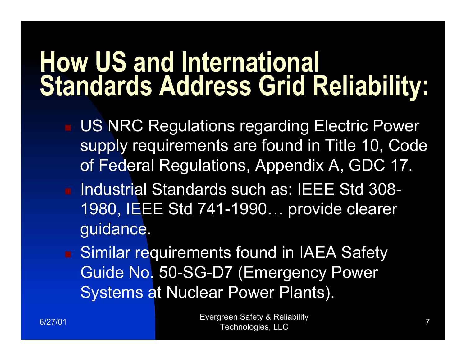#### **How US and International Standards Address Grid Reliability:**

- US NRC Regulations regarding Electric Power supply requirements are found in Title 10, Code of Federal Regulations, Appendix A, GDC 17.
- Industrial Standards such as: IEEE Std 308-1980, IEEE Std 741-1990… provide clearer guidance.

 Similar requirements found in IAEA Safety Guide No. 50-SG-D7 (Emergency Power Systems at Nuclear Power Plants).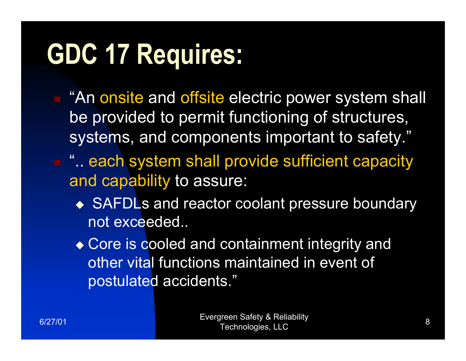#### **GDC 17 Requires:**

■ "An onsite and offsite electric power system shall be provided to permit functioning of structures, systems, and components important to safety."

- **E** " each system shall provide sufficient capacity and capability to assure:
	- ◆ SAFDLs and reactor coolant pressure boundary not exceeded..
	- ◆ Core is cooled and containment integrity and other vital functions maintained in event of postulated accidents."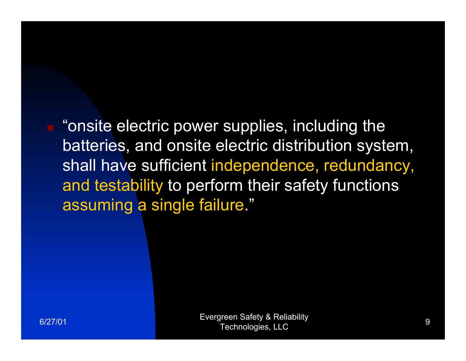**n** "onsite electric power supplies, including the batteries, and onsite electric distribution system, shall have sufficient independence, redundancy, and testability to perform their safety functions assuming a single failure."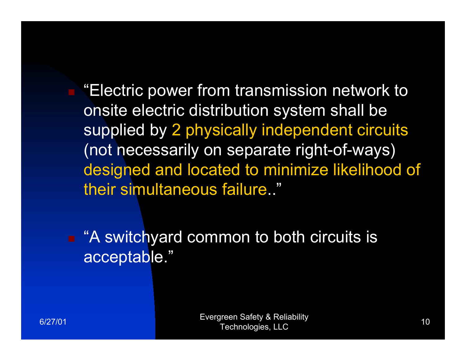"Electric power from transmission network to onsite electric distribution system shall be supplied by 2 physically independent circuits (not necessarily on separate right-of-ways) designed and located to minimize likelihood of their simultaneous failure.."

■ "A switchyard common to both circuits is acceptable."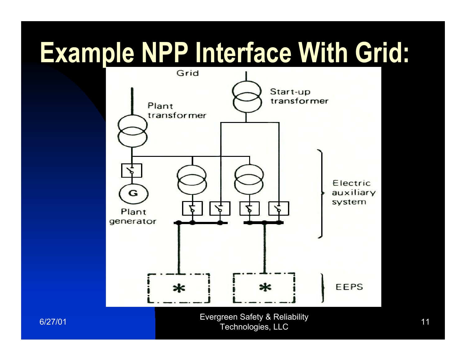#### **Example NPP Interface With Grid:**



6/27/01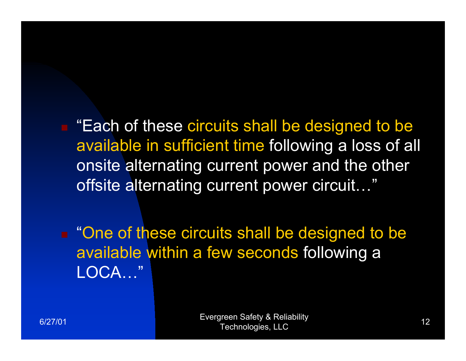■ "Each of these circuits shall be designed to be available in sufficient time following a loss of all onsite alternating current power and the other offsite alternating current power circuit…"

■ "One of these circuits shall be designed to be available within a few seconds following a LOCA…"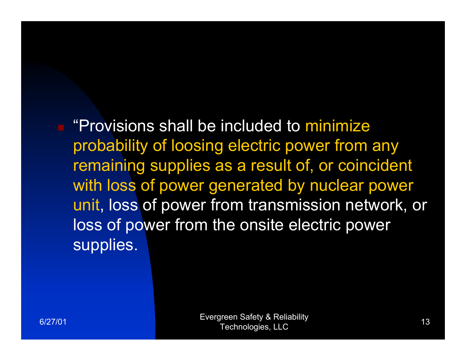**E** "Provisions shall be included to minimize" probability of loosing electric power from any remaining supplies as a result of, or coincident with loss of power generated by nuclear power unit, loss of power from transmission network, or loss of power from the onsite electric power supplies.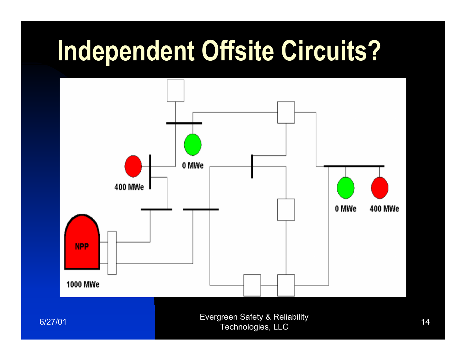#### **Independent Offsite Circuits?**

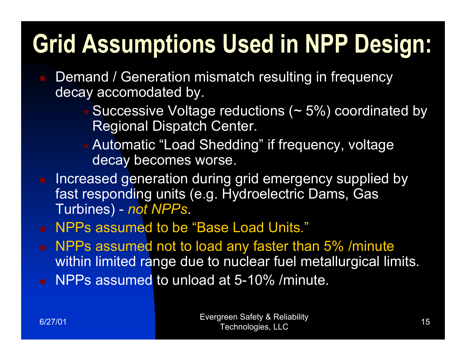#### **Grid Assumptions Used in NPP Design:**

- Demand / Generation mismatch resulting in frequency decay accomodated by.
	- Successive Voltage reductions (~ 5%) coordinated by Regional Dispatch Center.
	- Automatic "Load Shedding" if frequency, voltage decay becomes worse.
- **Increased generation during grid emergency supplied by** fast responding units (e.g. Hydroelectric Dams, Gas Turbines) - *not NPPs*.
- NPPs assumed to be "Base Load Units."
- NPPs assumed not to load any faster than 5% /minute within limited range due to nuclear fuel metallurgical limits.
- NPPs assumed to unload at 5-10% /minute.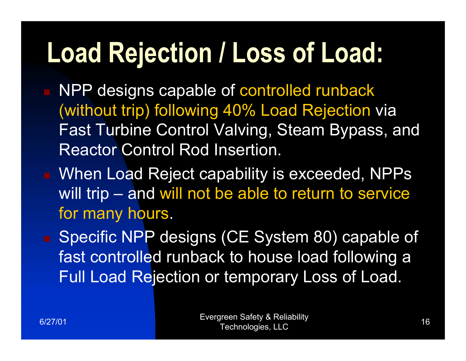### **Load Rejection / Loss of Load:**

- NPP designs capable of controlled runback (without trip) following 40% Load Rejection via Fast Turbine Control Valving, Steam Bypass, and Reactor Control Rod Insertion.
- When Load Reject capability is exceeded, NPPs will trip – and will not be able to return to service for many hours.
- Specific NPP designs (CE System 80) capable of fast controlled runback to house load following a Full Load Rejection or temporary Loss of Load.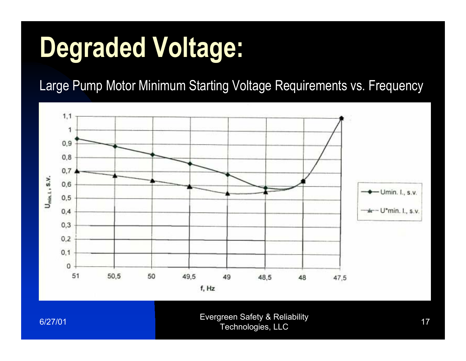### **Degraded Voltage:**

Large Pump Motor Minimum Starting Voltage Requirements vs. Frequency



6/27/01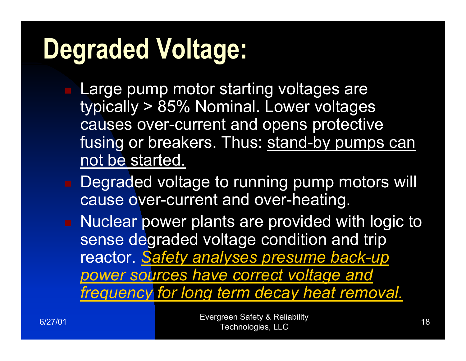### **Degraded Voltage:**

- Large pump motor starting voltages are typically > 85% Nominal. Lower voltages causes over-current and opens protective fusing or breakers. Thus: stand-by pumps can not be started.
	- Degraded voltage to running pump motors will cause over-current and over-heating.
- Nuclear power plants are provided with logic to sense degraded voltage condition and trip reactor. *Safety analyses presume back-up power sources have correct voltage and frequency for long term decay heat removal.*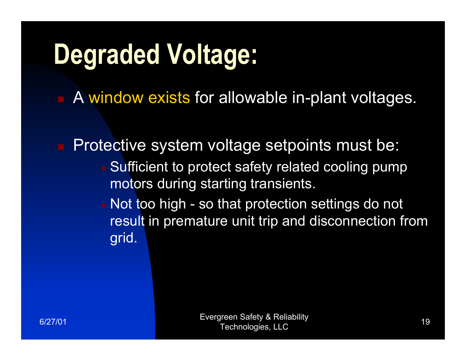### **Degraded Voltage:**

A window exists for allowable in-plant voltages.

 Protective system voltage setpoints must be: Sufficient to protect safety related cooling pump motors during starting transients.  $\star$  Not too high - so that protection settings do not result in premature unit trip and disconnection from grid.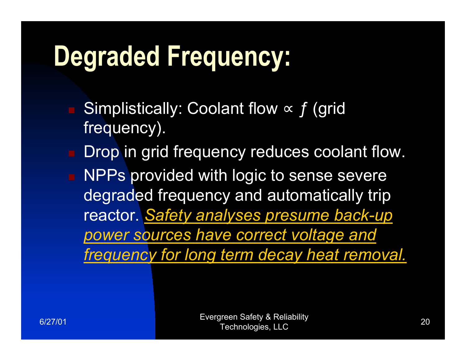#### **Degraded Frequency:**

- Simplistically: Coolant flow  $\propto f$  (grid frequency).
- Drop in grid frequency reduces coolant flow. NPPs provided with logic to sense severe degraded frequency and automatically trip reactor. *Safety analyses presume back-up power sources have correct voltage and frequency for long term decay heat removal.*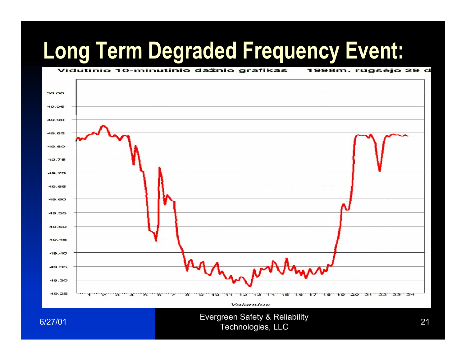#### **Long Term Degraded Frequency Event:**

Vidutinio 10-minutinio dažnio grafikas

#### 50.00 49.95 49.90 49.85 49.80 49.75 49.70 49.65 49.60 49.55 49.50 49.45 49.40 49.35 49.30 49.25  $13$  $14$  $15$ 16 17  $18$  $19$ 20  $\overline{21}$  $22$ 23  $24$ тă, ΊÖ  $11$  $12$ ۹ Valandos

Evergreen Safety & Reliability<br>
Technologies, LLC<br>
21

1998m. rugsėjo 29 d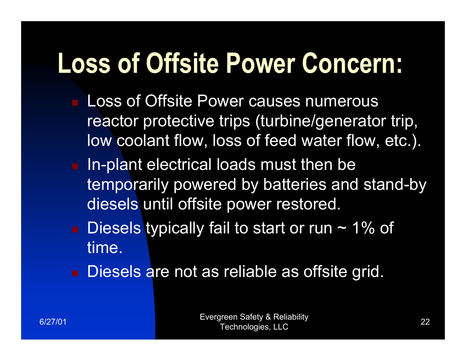#### **Loss of Offsite Power Concern:**

- Loss of Offsite Power causes numerous reactor protective trips (turbine/generator trip, low coolant flow, loss of feed water flow, etc.).
- $\blacksquare$  In-plant electrical loads must then be temporarily powered by batteries and stand-by diesels until offsite power restored.
- $\blacksquare$  Diesels typically fail to start or run ~ 1% of time.
- Diesels are not as reliable as offsite grid.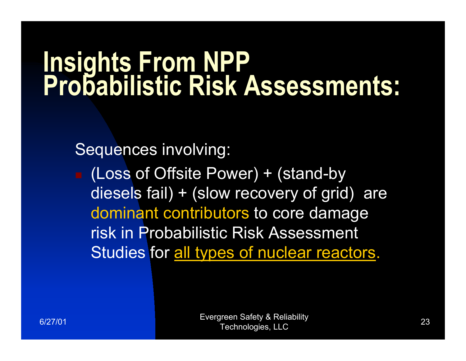### **Insights From NPP<br>Probabilistic Risk Assessments:**

Sequences involving:

 (Loss of Offsite Power) + (stand-by diesels fail) + (slow recovery of grid) are dominant contributors to core damage risk in Probabilistic Risk Assessment Studies for all types of nuclear reactors.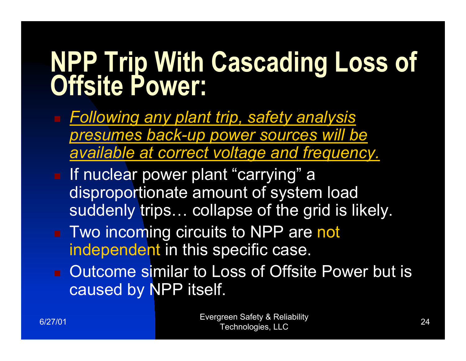# **NPP Trip With Cascading Loss of Offsite Power:**

- *Following any plant trip, safety analysis presumes back-up power sources will be available at correct voltage and frequency.*
- **If nuclear power plant "carrying" a** disproportionate amount of system load suddenly trips… collapse of the grid is likely.
- Two incoming circuits to NPP are not independent in this specific case.
- Outcome similar to Loss of Offsite Power but is caused by NPP itself.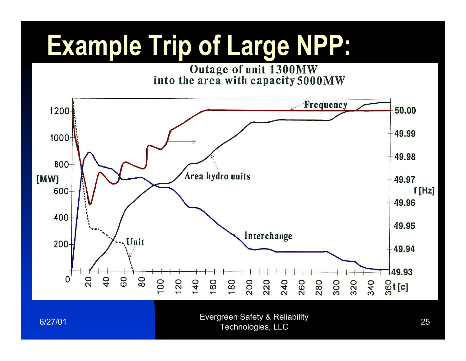#### **Example Trip of Large NPP:**

Outage of unit 1300MW<br>into the area with capacity 5000MW

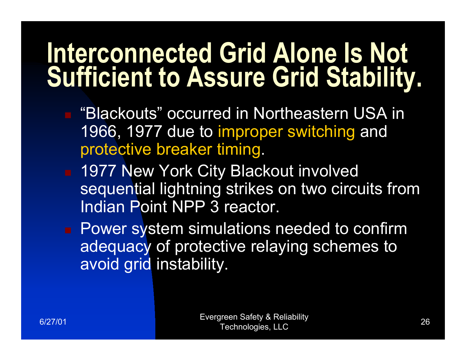#### **Interconnected Grid Alone Is Not Sufficient to Assure Grid Stability.**

- "Blackouts" occurred in Northeastern USA in 1966, 1977 due to improper switching and protective breaker timing.
- 1977 New York City Blackout involved sequential lightning strikes on two circuits from Indian Point NPP 3 reactor.

**Power system simulations needed to confirm** adequacy of protective relaying schemes to avoid grid instability.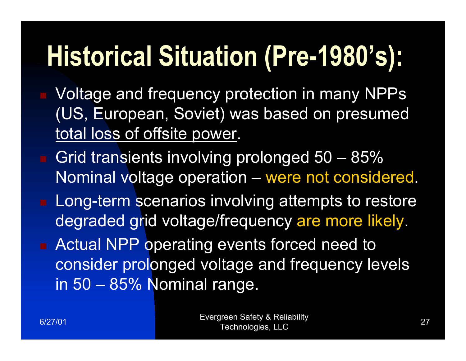### **Historical Situation (Pre-1980's):**

- Voltage and frequency protection in many NPPs (US, European, Soviet) was based on presumed total loss of offsite power.
- Grid transients involving prolonged 50 85% Nominal voltage operation – were not considered.
- $\blacksquare$  Long-term scenarios involving attempts to restore degraded grid voltage/frequency are more likely.
- **Actual NPP operating events forced need to** consider prolonged voltage and frequency levels in 50 – 85% Nominal range.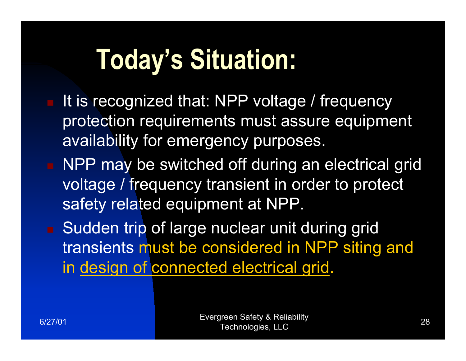#### **Today's Situation:**

- It is recognized that: NPP voltage / frequency protection requirements must assure equipment availability for emergency purposes.
- NPP may be switched off during an electrical grid voltage / frequency transient in order to protect safety related equipment at NPP.
- Sudden trip of large nuclear unit during grid transients must be considered in NPP siting and in design of connected electrical grid.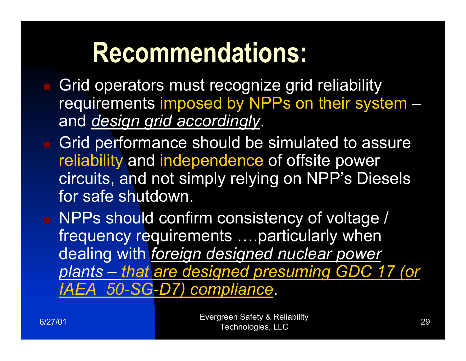#### **Recommendations:**

- Grid operators must recognize grid reliability requirements imposed by NPPs on their system – and *design grid accordingly*.
- Grid performance should be simulated to assure reliability and independence of offsite power circuits, and not simply relying on NPP's Diesels for safe shutdown.
- NPPs should confirm consistency of voltage / frequency requirements ….particularly when dealing with *foreign designed nuclear power plants – that are designed presuming GDC 17 (or IAEA 50-SG-D7) compliance*.